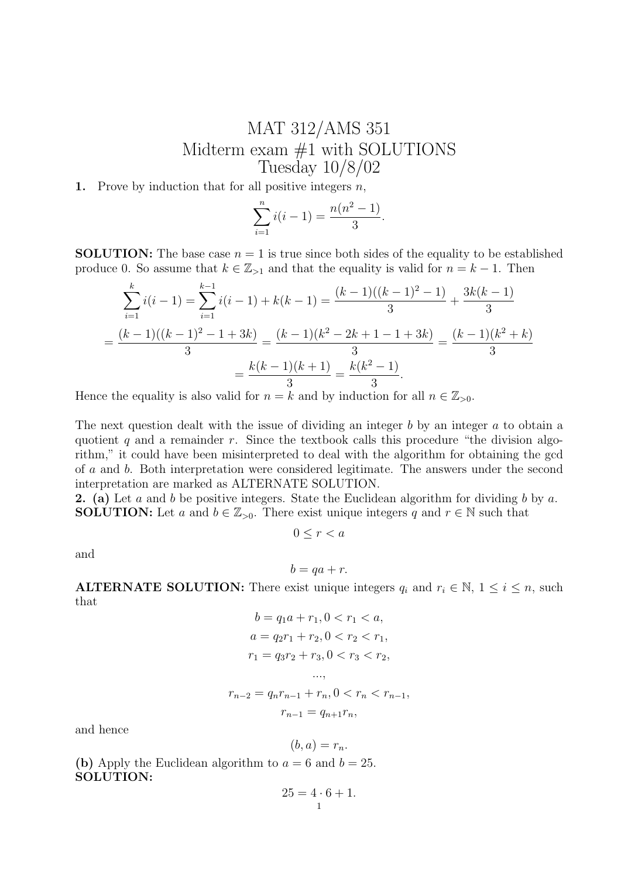## MAT 312/AMS 351 Midterm exam #1 with SOLUTIONS Tuesday 10/8/02

1. Prove by induction that for all positive integers  $n$ ,

$$
\sum_{i=1}^{n} i(i-1) = \frac{n(n^2 - 1)}{3}.
$$

**SOLUTION:** The base case  $n = 1$  is true since both sides of the equality to be established produce 0. So assume that  $k \in \mathbb{Z}_{>1}$  and that the equality is valid for  $n = k - 1$ . Then

$$
\sum_{i=1}^{k} i(i-1) = \sum_{i=1}^{k-1} i(i-1) + k(k-1) = \frac{(k-1)((k-1)^2 - 1)}{3} + \frac{3k(k-1)}{3}
$$

$$
= \frac{(k-1)((k-1)^2 - 1 + 3k)}{3} = \frac{(k-1)(k^2 - 2k + 1 - 1 + 3k)}{3} = \frac{(k-1)(k^2 + k)}{3}
$$

$$
= \frac{k(k-1)(k+1)}{3} = \frac{k(k^2 - 1)}{3}.
$$

Hence the equality is also valid for  $n = k$  and by induction for all  $n \in \mathbb{Z}_{>0}$ .

The next question dealt with the issue of dividing an integer  $b$  by an integer  $a$  to obtain a quotient q and a remainder  $r$ . Since the textbook calls this procedure "the division algorithm," it could have been misinterpreted to deal with the algorithm for obtaining the gcd of a and b. Both interpretation were considered legitimate. The answers under the second interpretation are marked as ALTERNATE SOLUTION.

**2.** (a) Let a and b be positive integers. State the Euclidean algorithm for dividing b by a. **SOLUTION:** Let a and  $b \in \mathbb{Z}_{>0}$ . There exist unique integers q and  $r \in \mathbb{N}$  such that

 $0 \leq r < a$ 

and

$$
b = qa + r.
$$

**ALTERNATE SOLUTION:** There exist unique integers  $q_i$  and  $r_i \in \mathbb{N}, 1 \leq i \leq n$ , such that

$$
b = q_1 a + r_1, 0 < r_1 < a,
$$
  
\n
$$
a = q_2 r_1 + r_2, 0 < r_2 < r_1,
$$
  
\n
$$
r_1 = q_3 r_2 + r_3, 0 < r_3 < r_2,
$$
  
\n...,  
\n
$$
r_{n-2} = q_n r_{n-1} + r_n, 0 < r_n < r_{n-1},
$$
  
\n
$$
r_{n-1} = q_{n+1} r_n,
$$

and hence

$$
(b,a)=r_n.
$$

(b) Apply the Euclidean algorithm to  $a = 6$  and  $b = 25$ . SOLUTION:

$$
25 = 4 \cdot 6 + 1.
$$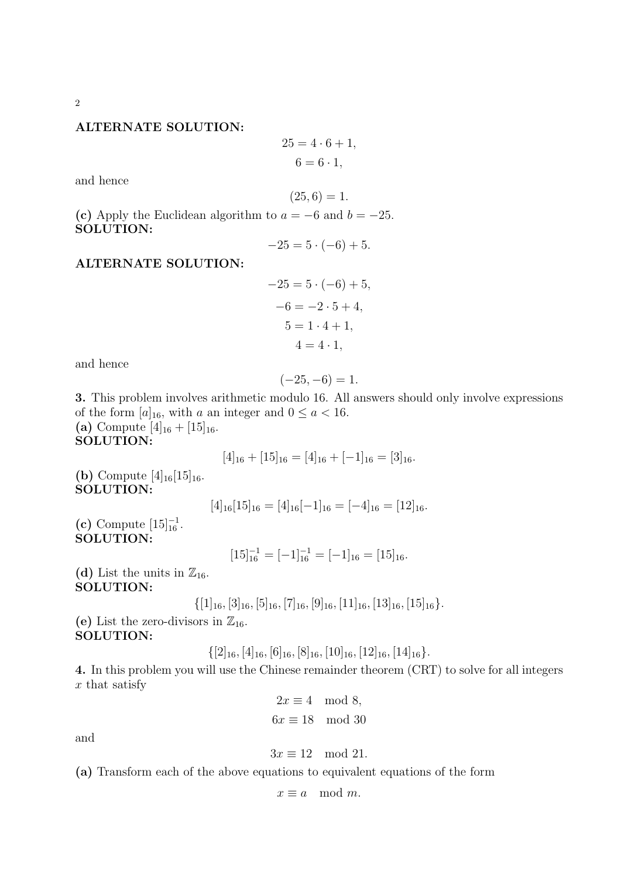## ALTERNATE SOLUTION:

$$
25 = 4 \cdot 6 + 1,
$$

$$
6 = 6 \cdot 1,
$$

and hence

$$
(25,6) = 1.
$$

(c) Apply the Euclidean algorithm to  $a = -6$  and  $b = -25$ . SOLUTION:

$$
-25 = 5 \cdot (-6) + 5.
$$

ALTERNATE SOLUTION:

$$
-25 = 5 \cdot (-6) + 5
$$
  

$$
-6 = -2 \cdot 5 + 4
$$
  

$$
5 = 1 \cdot 4 + 1
$$
  

$$
4 = 4 \cdot 1
$$

and hence

$$
(-25, -6) = 1.
$$

3. This problem involves arithmetic modulo 16. All answers should only involve expressions of the form  $[a]_{16}$ , with a an integer and  $0 \le a < 16$ . (a) Compute  $[4]_{16} + [15]_{16}$ . SOLUTION:

$$
[4]_{16} + [15]_{16} = [4]_{16} + [-1]_{16} = [3]_{16}.
$$

(**b**) Compute  $[4]_{16}[15]_{16}$ . SOLUTION:

$$
[4]_{16}[15]_{16} = [4]_{16}[-1]_{16} = [-4]_{16} = [12]_{16}.
$$

(c) Compute  $[15]_{16}^{-1}$ . SOLUTION:

$$
[15]_{16}^{-1} = [-1]_{16}^{-1} = [-1]_{16} = [15]_{16}.
$$

(d) List the units in  $\mathbb{Z}_{16}$ . SOLUTION:

$$
\{[1]_{16}, [3]_{16}, [5]_{16}, [7]_{16}, [9]_{16}, [11]_{16}, [13]_{16}, [15]_{16}\}.
$$

(e) List the zero-divisors in  $\mathbb{Z}_{16}$ . SOLUTION:

 $\{[2]_{16}, [4]_{16}, [6]_{16}, [8]_{16}, [10]_{16}, [12]_{16}, [14]_{16}\}.$ 

4. In this problem you will use the Chinese remainder theorem (CRT) to solve for all integers x that satisfy

$$
2x \equiv 4 \mod 8,
$$
  

$$
6x \equiv 18 \mod 30
$$

and

$$
3x \equiv 12 \mod 21.
$$

(a) Transform each of the above equations to equivalent equations of the form

 $x \equiv a \mod m$ .